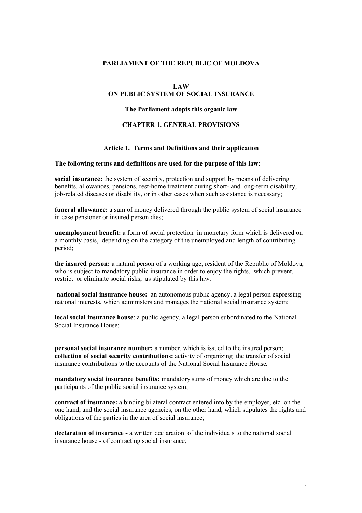# **PARLIAMENT OF THE REPUBLIC OF MOLDOVA**

#### **LAW**

# **ON PUBLIC SYSTEM OF SOCIAL INSURANCE**

# **The Parliament adopts this organic law**

#### **CHAPTER 1. GENERAL PROVISIONS**

#### **Article 1. Terms and Definitions and their application**

#### **The following terms and definitions are used for the purpose of this law:**

**social insurance:** the system of security, protection and support by means of delivering benefits, allowances, pensions, rest-home treatment during short- and long-term disability, job-related diseases or disability, or in other cases when such assistance is necessary;

**funeral allowance:** a sum of money delivered through the public system of social insurance in case pensioner or insured person dies;

**unemployment benefit:** a form of social protection in monetary form which is delivered on a monthly basis, depending on the category of the unemployed and length of contributing period;

**the insured person:** a natural person of a working age, resident of the Republic of Moldova, who is subject to mandatory public insurance in order to enjoy the rights, which prevent, restrict or eliminate social risks, as stipulated by this law.

 **national social insurance house:** an autonomous public agency, a legal person expressing national interests, which administers and manages the national social insurance system;

**local social insurance house**: a public agency, a legal person subordinated to the National Social Insurance House;

**personal social insurance number:** a number, which is issued to the insured person; **collection of social security contributions:** activity of organizing the transfer of social insurance contributions to the accounts of the National Social Insurance House.

**mandatory social insurance benefits:** mandatory sums of money which are due to the participants of the public social insurance system;

**contract of insurance:** a binding bilateral contract entered into by the employer, etc. on the one hand, and the social insurance agencies, on the other hand, which stipulates the rights and obligations of the parties in the area of social insurance;

**declaration of insurance -** a written declaration of the individuals to the national social insurance house - of contracting social insurance;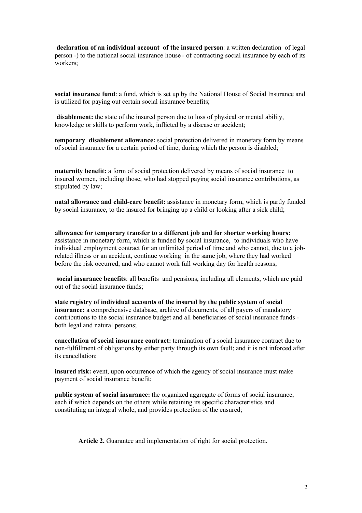**declaration of an individual account of the insured person**: a written declaration of legal person -) to the national social insurance house - of contracting social insurance by each of its workers;

**social insurance fund**: a fund, which is set up by the National House of Social Insurance and is utilized for paying out certain social insurance benefits;

 **disablement:** the state of the insured person due to loss of physical or mental ability, knowledge or skills to perform work, inflicted by a disease or accident;

**temporary disablement allowance:** social protection delivered in monetary form by means of social insurance for a certain period of time, during which the person is disabled;

**maternity benefit:** a form of social protection delivered by means of social insurance to insured women, including those, who had stopped paying social insurance contributions, as stipulated by law;

**natal allowance and child-care benefit:** assistance in monetary form, which is partly funded by social insurance, to the insured for bringing up a child or looking after a sick child;

**allowance for temporary transfer to a different job and for shorter working hours:** assistance in monetary form, which is funded by social insurance, to individuals who have individual employment contract for an unlimited period of time and who cannot, due to a jobrelated illness or an accident, continue working in the same job, where they had worked before the risk occurred; and who cannot work full working day for health reasons;

 **social insurance benefits**: all benefits and pensions, including all elements, which are paid out of the social insurance funds;

**state registry of individual accounts of the insured by the public system of social insurance:** a comprehensive database, archive of documents, of all payers of mandatory contributions to the social insurance budget and all beneficiaries of social insurance funds both legal and natural persons;

**cancellation of social insurance contract:** termination of a social insurance contract due to non-fulfillment of obligations by either party through its own fault; and it is not inforced after its cancellation;

**insured risk:** event, upon occurrence of which the agency of social insurance must make payment of social insurance benefit;

**public system of social insurance:** the organized aggregate of forms of social insurance, each if which depends on the others while retaining its specific characteristics and constituting an integral whole, and provides protection of the ensured;

 **Article 2.** Guarantee and implementation of right for social protection.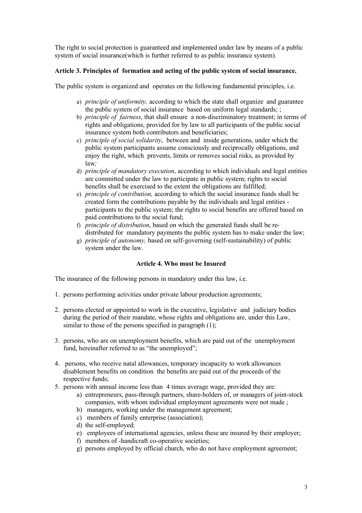The right to social protection is guaranteed and implemented under law by means of a public system of social insurance(which is further referred to as public insurance system).

# **Article 3. Principles of formation and acting of the public system of social insurance.**

The public system is organized and operates on the following fundamental principles, i.e.

- a) *principle of uniformity,* according to which the state shall organize and guarantee the public system of social insurance based on uniform legal standards; ;
- b) *principle of fairness*, that shall ensure a non-discriminatory treatment; in terms of rights and obligations, provided for by law to all participants of the public social insurance system both contributors and beneficiaries;
- c) *principle of social solidarity*, between and inside generations, under which the public system participants assume consciously and reciprocally obligations, and enjoy the right, which prevents, limits or removes social risks, as provided by law*;*
- d) *principle of mandatory execution*, according to which individuals and legal entities are committed under the law to participate in public system; rights to social benefits shall be exercised to the extent the obligations are fulfilled;
- e) *principle of contribution,* according to which the social insurance funds shall be created form the contributions payable by the individuals and legal entities participants to the public system; the rights to social benefits are offered based on paid contributions to the social fund;
- f) *principle of distribution*, based on which the generated funds shall be redistributed for mandatory payments the public system has to make under the law;
- g) *principle of autonomy,* based on self-governing (self-sustainability) of public system under the law.

## **Article 4. Who must be Insured**

The insurance of the following persons in mandatory under this law, i.e.

- 1. persons performing activities under private labour production agreements;
- 2. persons elected or appointed to work in the executive, legislative and judiciary bodies during the period of their mandate, whose rights and obligations are, under this Law, similar to those of the persons specified in paragraph  $(1)$ ;
- 3. persons, who are on unemployment benefits, which are paid out of the unemployment fund, hereinafter referred to as "the unemployed";
- 4. persons, who receive natal allowances, temporary incapacity to work allowances disablement benefits on condition the benefits are paid out of the proceeds of the respective funds;
- 5. persons with annual income less than 4 times average wage, provided they are:
	- a) entrepreneurs, pass-through partners, share-holders of, or managers of joint-stock companies, with whom individual employment agreements were not made ;
	- b) managers, working under the management agreement;
	- c) members of family enterprise (association);
	- d) the self-employed;
	- e) employees of international agencies, unless these are insured by their employer;
	- f) members of -handicraft co-operative societies;
	- g) persons employed by official church, who do not have employment agreement;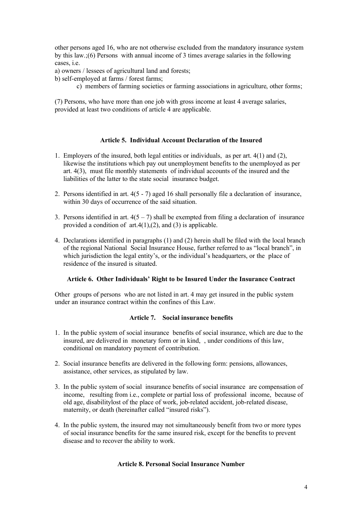other persons aged 16, who are not otherwise excluded from the mandatory insurance system by this law.;(6) Persons with annual income of 3 times average salaries in the following cases, i.e.

a) owners / lessees of agricultural land and forests;

b) self-employed at farms / forest farms;

c) members of farming societies or farming associations in agriculture, other forms;

(7) Persons, who have more than one job with gross income at least 4 average salaries, provided at least two conditions of article 4 are applicable.

# **Article 5. Individual Account Declaration of the Insured**

- 1. Employers of the insured, both legal entities or individuals, as per art. 4(1) and (2), likewise the institutions which pay out unemployment benefits to the unemployed as per art. 4(3), must file monthly statements of individual accounts of the insured and the liabilities of the latter to the state social insurance budget.
- 2. Persons identified in art. 4(5 7) aged 16 shall personally file a declaration of insurance, within 30 days of occurrence of the said situation.
- 3. Persons identified in art.  $4(5 7)$  shall be exempted from filing a declaration of insurance provided a condition of  $art.4(1),(2)$ , and (3) is applicable.
- 4. Declarations identified in paragraphs (1) and (2) herein shall be filed with the local branch of the regional National Social Insurance House, further referred to as "local branch", in which jurisdiction the legal entity's, or the individual's headquarters, or the place of residence of the insured is situated.

# **Article 6. Other Individuals' Right to be Insured Under the Insurance Contract**

Other groups of persons who are not listed in art. 4 may get insured in the public system under an insurance contract within the confines of this Law.

# **Article 7. Social insurance benefits**

- 1. In the public system of social insurance benefits of social insurance, which are due to the insured, are delivered in monetary form or in kind, , under conditions of this law, conditional on mandatory payment of contribution.
- 2. Social insurance benefits are delivered in the following form: pensions, allowances, assistance, other services, as stipulated by law.
- 3. In the public system of social insurance benefits of social insurance are compensation of income, resulting from i.e., complete or partial loss of professional income, because of old age, disabilitylost of the place of work, job-related accident, job-related disease, maternity, or death (hereinafter called "insured risks").
- 4. In the public system, the insured may not simultaneously benefit from two or more types of social insurance benefits for the same insured risk, except for the benefits to prevent disease and to recover the ability to work.

## **Article 8. Personal Social Insurance Number**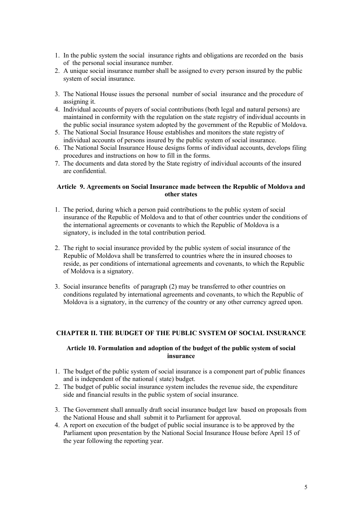- 1. In the public system the social insurance rights and obligations are recorded on the basis of the personal social insurance number.
- 2. A unique social insurance number shall be assigned to every person insured by the public system of social insurance.
- 3. The National House issues the personal number of social insurance and the procedure of assigning it.
- 4. Individual accounts of payers of social contributions (both legal and natural persons) are maintained in conformity with the regulation on the state registry of individual accounts in the public social insurance system adopted by the government of the Republic of Moldova.
- 5. The National Social Insurance House establishes and monitors the state registry of individual accounts of persons insured by the public system of social insurance.
- 6. The National Social Insurance House designs forms of individual accounts, develops filing procedures and instructions on how to fill in the forms.
- 7. The documents and data stored by the State registry of individual accounts of the insured are confidential.

## **Article 9. Agreements on Social Insurance made between the Republic of Moldova and other states**

- 1. The period, during which a person paid contributions to the public system of social insurance of the Republic of Moldova and to that of other countries under the conditions of the international agreements or covenants to which the Republic of Moldova is a signatory, is included in the total contribution period.
- 2. The right to social insurance provided by the public system of social insurance of the Republic of Moldova shall be transferred to countries where the in insured chooses to reside, as per conditions of international agreements and covenants, to which the Republic of Moldova is a signatory.
- 3. Social insurance benefits of paragraph (2) may be transferred to other countries on conditions regulated by international agreements and covenants, to which the Republic of Moldova is a signatory, in the currency of the country or any other currency agreed upon.

# **CHAPTER II. THE BUDGET OF THE PUBLIC SYSTEM OF SOCIAL INSURANCE**

# **Article 10. Formulation and adoption of the budget of the public system of social insurance**

- 1. The budget of the public system of social insurance is a component part of public finances and is independent of the national ( state) budget.
- 2. The budget of public social insurance system includes the revenue side, the expenditure side and financial results in the public system of social insurance.
- 3. The Government shall annually draft social insurance budget law based on proposals from the National House and shall submit it to Parliament for approval.
- 4. A report on execution of the budget of public social insurance is to be approved by the Parliament upon presentation by the National Social Insurance House before April 15 of the year following the reporting year.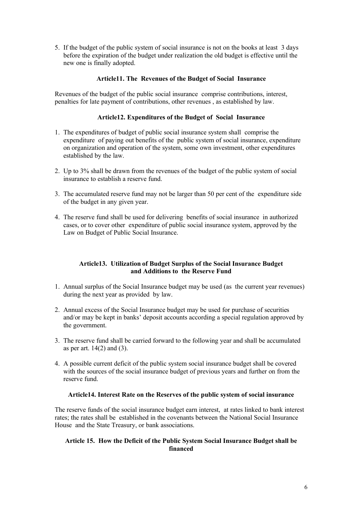5. If the budget of the public system of social insurance is not on the books at least 3 days before the expiration of the budget under realization the old budget is effective until the new one is finally adopted.

# **Article11. The Revenues of the Budget of Social Insurance**

Revenues of the budget of the public social insurance comprise contributions, interest, penalties for late payment of contributions, other revenues , as established by law.

# **Article12. Expenditures of the Budget of Social Insurance**

- 1. The expenditures of budget of public social insurance system shall comprise the expenditure of paying out benefits of the public system of social insurance, expenditure on organization and operation of the system, some own investment, other expenditures established by the law.
- 2. Up to 3% shall be drawn from the revenues of the budget of the public system of social insurance to establish a reserve fund.
- 3. The accumulated reserve fund may not be larger than 50 per cent of the expenditure side of the budget in any given year.
- 4. The reserve fund shall be used for delivering benefits of social insurance in authorized cases, or to cover other expenditure of public social insurance system, approved by the Law on Budget of Public Social Insurance.

# **Article13. Utilization of Budget Surplus of the Social Insurance Budget and Additions to the Reserve Fund**

- 1. Annual surplus of the Social Insurance budget may be used (as the current year revenues) during the next year as provided by law.
- 2. Annual excess of the Social Insurance budget may be used for purchase of securities and/or may be kept in banks' deposit accounts according a special regulation approved by the government.
- 3. The reserve fund shall be carried forward to the following year and shall be accumulated as per art.  $14(2)$  and  $(3)$ .
- 4. A possible current deficit of the public system social insurance budget shall be covered with the sources of the social insurance budget of previous years and further on from the reserve fund.

## **Article14. Interest Rate on the Reserves of the public system of social insurance**

The reserve funds of the social insurance budget earn interest, at rates linked to bank interest rates; the rates shall be established in the covenants between the National Social Insurance House and the State Treasury, or bank associations.

# **Article 15. How the Deficit of the Public System Social Insurance Budget shall be financed**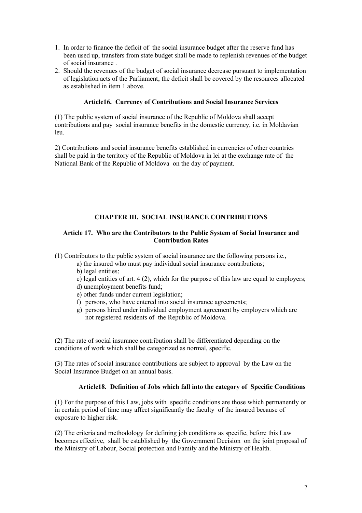- 1. In order to finance the deficit of the social insurance budget after the reserve fund has been used up, transfers from state budget shall be made to replenish revenues of the budget of social insurance .
- 2. Should the revenues of the budget of social insurance decrease pursuant to implementation of legislation acts of the Parliament, the deficit shall be covered by the resources allocated as established in item 1 above.

# **Article16. Currency of Contributions and Social Insurance Services**

(1) The public system of social insurance of the Republic of Moldova shall accept contributions and pay social insurance benefits in the domestic currency, i.e. in Moldavian leu.

2) Contributions and social insurance benefits established in currencies of other countries shall be paid in the territory of the Republic of Moldova in lei at the exchange rate of the National Bank of the Republic of Moldova on the day of payment.

# **CHAPTER III. SOCIAL INSURANCE CONTRIBUTIONS**

#### **Article 17. Who are the Contributors to the Public System of Social Insurance and Contribution Rates**

(1) Contributors to the public system of social insurance are the following persons i.e.,

- a) the insured who must pay individual social insurance contributions;
- b) legal entities;
- c) legal entities of art. 4 (2), which for the purpose of this law are equal to employers;
- d) unemployment benefits fund;
- e) other funds under current legislation;
- f) persons, who have entered into social insurance agreements;
- g) persons hired under individual employment agreement by employers which are not registered residents of the Republic of Moldova.

(2) The rate of social insurance contribution shall be differentiated depending on the conditions of work which shall be categorized as normal, specific.

(3) The rates of social insurance contributions are subject to approval by the Law on the Social Insurance Budget on an annual basis.

## **Article18. Definition of Jobs which fall into the category of Specific Conditions**

(1) For the purpose of this Law, jobs with specific conditions are those which permanently or in certain period of time may affect significantly the faculty of the insured because of exposure to higher risk.

(2) The criteria and methodology for defining job conditions as specific, before this Law becomes effective, shall be established by the Government Decision on the joint proposal of the Ministry of Labour, Social protection and Family and the Ministry of Health.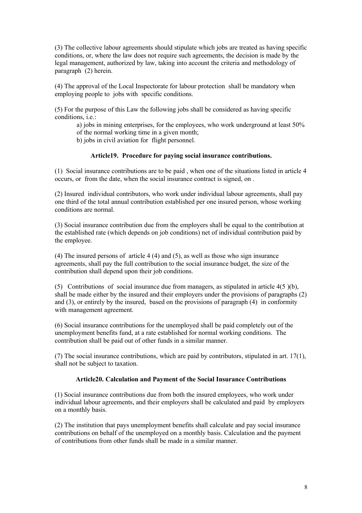(3) The collective labour agreements should stipulate which jobs are treated as having specific conditions, or, where the law does not require such agreements, the decision is made by the legal management, authorized by law, taking into account the criteria and methodology of paragraph (2) herein.

(4) The approval of the Local Inspectorate for labour protection shall be mandatory when employing people to jobs with specific conditions.

(5) For the purpose of this Law the following jobs shall be considered as having specific conditions, i.e.:

a) jobs in mining enterprises, for the employees, who work underground at least 50% of the normal working time in a given month;

b) jobs in civil aviation for flight personnel.

#### **Article19. Procedure for paying social insurance contributions.**

(1) Social insurance contributions are to be paid , when one of the situations listed in article 4 occurs, or from the date, when the social insurance contract is signed, on .

(2) Insured individual contributors, who work under individual labour agreements, shall pay one third of the total annual contribution established per one insured person, whose working conditions are normal.

(3) Social insurance contribution due from the employers shall be equal to the contribution at the established rate (which depends on job conditions) net of individual contribution paid by the employee.

(4) The insured persons of article 4 (4) and (5), as well as those who sign insurance agreements, shall pay the full contribution to the social insurance budget, the size of the contribution shall depend upon their job conditions.

(5) Contributions of social insurance due from managers, as stipulated in article 4(5 )(b), shall be made either by the insured and their employers under the provisions of paragraphs (2) and (3), or entirely by the insured, based on the provisions of paragraph (4) in conformity with management agreement.

(6) Social insurance contributions for the unemployed shall be paid completely out of the unemployment benefits fund, at a rate established for normal working conditions. The contribution shall be paid out of other funds in a similar manner.

(7) The social insurance contributions, which are paid by contributors, stipulated in art. 17(1), shall not be subject to taxation.

#### **Article20. Calculation and Payment of the Social Insurance Contributions**

(1) Social insurance contributions due from both the insured employees, who work under individual labour agreements, and their employers shall be calculated and paid by employers on a monthly basis.

(2) The institution that pays unemployment benefits shall calculate and pay social insurance contributions on behalf of the unemployed on a monthly basis. Calculation and the payment of contributions from other funds shall be made in a similar manner.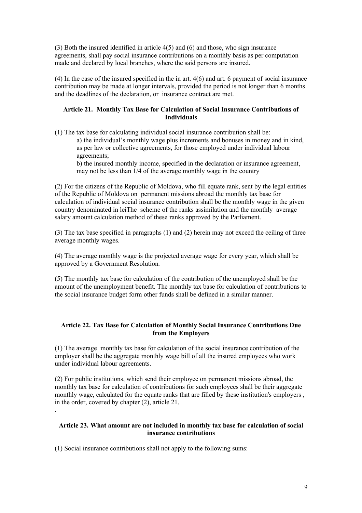(3) Both the insured identified in article 4(5) and (6) and those, who sign insurance agreements, shall pay social insurance contributions on a monthly basis as per computation made and declared by local branches, where the said persons are insured.

(4) In the case of the insured specified in the in art. 4(6) and art. 6 payment of social insurance contribution may be made at longer intervals, provided the period is not longer than 6 months and the deadlines of the declaration, or insurance contract are met.

## **Article 21. Monthly Tax Base for Calculation of Social Insurance Contributions of Individuals**

(1) The tax base for calculating individual social insurance contribution shall be:

a) the individual's monthly wage plus increments and bonuses in money and in kind, as per law or collective agreements, for those employed under individual labour agreements;

b) the insured monthly income, specified in the declaration or insurance agreement, may not be less than 1/4 of the average monthly wage in the country

(2) For the citizens of the Republic of Moldova, who fill equate rank, sent by the legal entities of the Republic of Moldova on permanent missions abroad the monthly tax base for calculation of individual social insurance contribution shall be the monthly wage in the given country denominated in leiThe scheme of the ranks assimilation and the monthly average salary amount calculation method of these ranks approved by the Parliament.

(3) The tax base specified in paragraphs (1) and (2) herein may not exceed the ceiling of three average monthly wages.

(4) The average monthly wage is the projected average wage for every year, which shall be approved by a Government Resolution.

(5) The monthly tax base for calculation of the contribution of the unemployed shall be the amount of the unemployment benefit. The monthly tax base for calculation of contributions to the social insurance budget form other funds shall be defined in a similar manner.

# **Article 22. Tax Base for Calculation of Monthly Social Insurance Contributions Due from the Employers**

(1) The average monthly tax base for calculation of the social insurance contribution of the employer shall be the aggregate monthly wage bill of all the insured employees who work under individual labour agreements.

(2) For public institutions, which send their employee on permanent missions abroad, the monthly tax base for calculation of contributions for such employees shall be their aggregate monthly wage, calculated for the equate ranks that are filled by these institution's employers , in the order, covered by chapter (2), article 21.

# **Article 23. What amount are not included in monthly tax base for calculation of social insurance contributions**

(1) Social insurance contributions shall not apply to the following sums:

.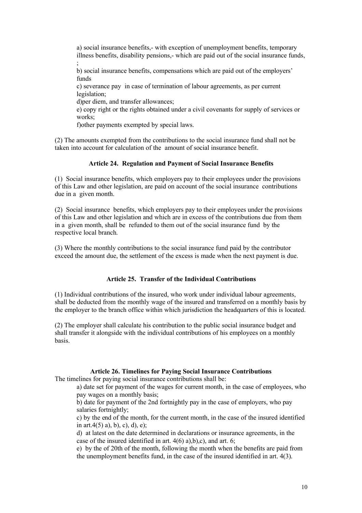a) social insurance benefits,- with exception of unemployment benefits, temporary illness benefits, disability pensions,- which are paid out of the social insurance funds, ;

b) social insurance benefits, compensations which are paid out of the employers' funds

c) severance pay in case of termination of labour agreements, as per current legislation;

d)per diem, and transfer allowances;

e) copy right or the rights obtained under a civil covenants for supply of services or works:

f)other payments exempted by special laws.

(2) The amounts exempted from the contributions to the social insurance fund shall not be taken into account for calculation of the amount of social insurance benefit.

# **Article 24. Regulation and Payment of Social Insurance Benefits**

(1) Social insurance benefits, which employers pay to their employees under the provisions of this Law and other legislation, are paid on account of the social insurance contributions due in a given month.

(2) Social insurance benefits, which employers pay to their employees under the provisions of this Law and other legislation and which are in excess of the contributions due from them in a given month, shall be refunded to them out of the social insurance fund by the respective local branch.

(3) Where the monthly contributions to the social insurance fund paid by the contributor exceed the amount due, the settlement of the excess is made when the next payment is due.

## **Article 25. Transfer of the Individual Contributions**

(1) Individual contributions of the insured, who work under individual labour agreements, shall be deducted from the monthly wage of the insured and transferred on a monthly basis by the employer to the branch office within which jurisdiction the headquarters of this is located.

(2) The employer shall calculate his contribution to the public social insurance budget and shall transfer it alongside with the individual contributions of his employees on a monthly basis.

# **Article 26. Timelines for Paying Social Insurance Contributions**

The timelines for paying social insurance contributions shall be:

a) date set for payment of the wages for current month, in the case of employees, who pay wages on a monthly basis;

b) date for payment of the 2nd fortnightly pay in the case of employers, who pay salaries fortnightly;

c) by the end of the month, for the current month, in the case of the insured identified in art.  $4(5)$  a), b), c), d), e);

d) at latest on the date determined in declarations or insurance agreements, in the case of the insured identified in art.  $4(6)$  a),b),c), and art. 6;

e) by the of 20th of the month, following the month when the benefits are paid from the unemployment benefits fund, in the case of the insured identified in art. 4(3).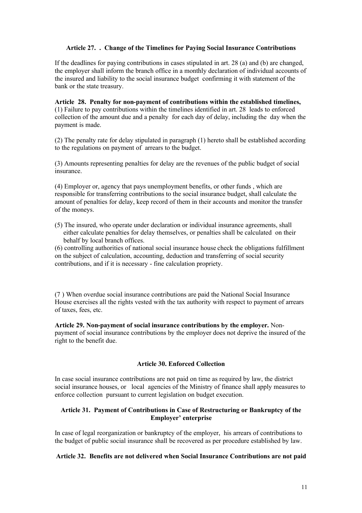# **Article 27. . Change of the Timelines for Paying Social Insurance Contributions**

If the deadlines for paying contributions in cases stipulated in art. 28 (a) and (b) are changed, the employer shall inform the branch office in a monthly declaration of individual accounts of the insured and liability to the social insurance budget confirming it with statement of the bank or the state treasury.

**Article 28. Penalty for non-payment of contributions within the established timelines,**  (1) Failure to pay contributions within the timelines identified in art. 28 leads to enforced collection of the amount due and a penalty for each day of delay, including the day when the payment is made.

(2) The penalty rate for delay stipulated in paragraph (1) hereto shall be established according to the regulations on payment of arrears to the budget.

(3) Amounts representing penalties for delay are the revenues of the public budget of social insurance.

(4) Employer or, agency that pays unemployment benefits, or other funds , which are responsible for transferring contributions to the social insurance budget, shall calculate the amount of penalties for delay, keep record of them in their accounts and monitor the transfer of the moneys.

(5) The insured, who operate under declaration or individual insurance agreements, shall either calculate penalties for delay themselves, or penalties shall be calculated on their behalf by local branch offices.

(6) controlling authorities of national social insurance house check the obligations fulfillment on the subject of calculation, accounting, deduction and transferring of social security contributions, and if it is necessary - fine calculation propriety.

(7 ) When overdue social insurance contributions are paid the National Social Insurance House exercises all the rights vested with the tax authority with respect to payment of arrears of taxes, fees, etc.

**Article 29. Non-payment of social insurance contributions by the employer.** Nonpayment of social insurance contributions by the employer does not deprive the insured of the right to the benefit due.

# **Article 30. Enforced Collection**

In case social insurance contributions are not paid on time as required by law, the district social insurance houses, or local agencies of the Ministry of finance shall apply measures to enforce collection pursuant to current legislation on budget execution.

# **Article 31. Payment of Contributions in Case of Restructuring or Bankruptcy of the Employer' enterprise**

In case of legal reorganization or bankruptcy of the employer, his arrears of contributions to the budget of public social insurance shall be recovered as per procedure established by law.

## **Article 32. Benefits are not delivered when Social Insurance Contributions are not paid**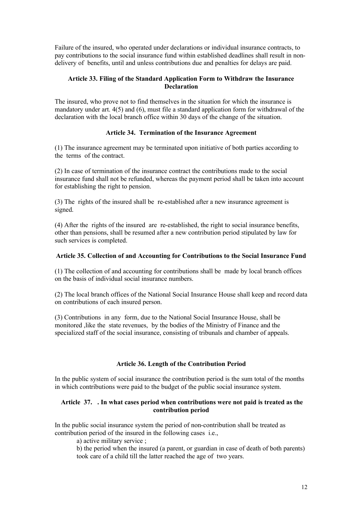Failure of the insured, who operated under declarations or individual insurance contracts, to pay contributions to the social insurance fund within established deadlines shall result in nondelivery of benefits, until and unless contributions due and penalties for delays are paid.

# **Article 33. Filing of the Standard Application Form to Withdraw the Insurance Declaration**

The insured, who prove not to find themselves in the situation for which the insurance is mandatory under art. 4(5) and (6), must file a standard application form for withdrawal of the declaration with the local branch office within 30 days of the change of the situation.

# **Article 34. Termination of the Insurance Agreement**

(1) The insurance agreement may be terminated upon initiative of both parties according to the terms of the contract.

(2) In case of termination of the insurance contract the contributions made to the social insurance fund shall not be refunded, whereas the payment period shall be taken into account for establishing the right to pension.

(3) The rights of the insured shall be re-established after a new insurance agreement is signed.

(4) After the rights of the insured are re-established, the right to social insurance benefits, other than pensions, shall be resumed after a new contribution period stipulated by law for such services is completed.

# **Article 35. Collection of and Accounting for Contributions to the Social Insurance Fund**

(1) The collection of and accounting for contributions shall be made by local branch offices on the basis of individual social insurance numbers.

(2) The local branch offices of the National Social Insurance House shall keep and record data on contributions of each insured person.

(3) Contributions in any form, due to the National Social Insurance House, shall be monitored ,like the state revenues, by the bodies of the Ministry of Finance and the specialized staff of the social insurance, consisting of tribunals and chamber of appeals.

## **Article 36. Length of the Contribution Period**

In the public system of social insurance the contribution period is the sum total of the months in which contributions were paid to the budget of the public social insurance system.

## **Article 37. . In what cases period when contributions were not paid is treated as the contribution period**

In the public social insurance system the period of non-contribution shall be treated as contribution period of the insured in the following cases i.e.,

a) active military service ;

b) the period when the insured (a parent, or guardian in case of death of both parents) took care of a child till the latter reached the age of two years.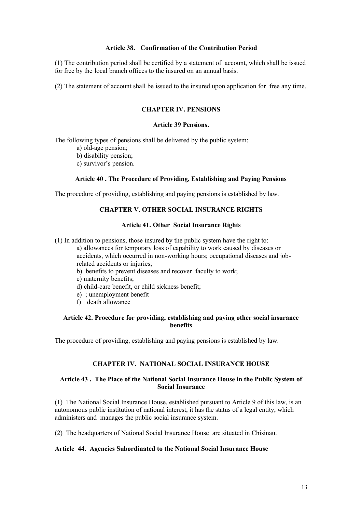#### **Article 38. Confirmation of the Contribution Period**

(1) The contribution period shall be certified by a statement of account, which shall be issued for free by the local branch offices to the insured on an annual basis.

(2) The statement of account shall be issued to the insured upon application for free any time.

# **CHAPTER IV. PENSIONS**

#### **Article 39 Pensions.**

The following types of pensions shall be delivered by the public system:

- a) old-age pension;
- b) disability pension;
- c) survivor's pension.

#### **Article 40 . The Procedure of Providing, Establishing and Paying Pensions**

The procedure of providing, establishing and paying pensions is established by law.

# **CHAPTER V. OTHER SOCIAL INSURANCE RIGHTS**

#### **Article 41. Other Social Insurance Rights**

(1) In addition to pensions, those insured by the public system have the right to:

a) allowances for temporary loss of capability to work caused by diseases or accidents, which occurred in non-working hours; occupational diseases and jobrelated accidents or injuries;

- b) benefits to prevent diseases and recover faculty to work;
- c) maternity benefits;
- d) child-care benefit, or child sickness benefit;
- e) ; unemployment benefit
- f) death allowance

# **Article 42. Procedure for providing, establishing and paying other social insurance benefits**

The procedure of providing, establishing and paying pensions is established by law.

# **CHAPTER IV. NATIONAL SOCIAL INSURANCE HOUSE**

#### **Article 43 . The Place of the National Social Insurance House in the Public System of Social Insurance**

(1) The National Social Insurance House, established pursuant to Article 9 of this law, is an autonomous public institution of national interest, it has the status of a legal entity, which administers and manages the public social insurance system.

(2) The headquarters of National Social Insurance House are situated in Chisinau.

#### **Article 44. Agencies Subordinated to the National Social Insurance House**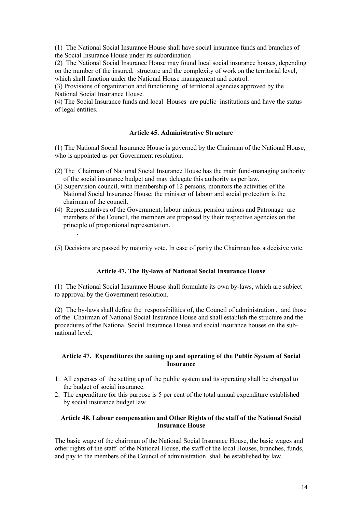(1) The National Social Insurance House shall have social insurance funds and branches of the Social Insurance House under its subordination

(2) The National Social Insurance House may found local social insurance houses, depending on the number of the insured, structure and the complexity of work on the territorial level, which shall function under the National House management and control.

(3) Provisions of organization and functioning of territorial agencies approved by the National Social Insurance House.

(4) The Social Insurance funds and local Houses are public institutions and have the status of legal entities.

# **Article 45. Administrative Structure**

(1) The National Social Insurance House is governed by the Chairman of the National House, who is appointed as per Government resolution.

- (2) The Chairman of National Social Insurance House has the main fund-managing authority of the social insurance budget and may delegate this authority as per law.
- (3) Supervision council, with membership of 12 persons, monitors the activities of the National Social Insurance House; the minister of labour and social protection is the chairman of the council.
- (4) Representatives of the Government, labour unions, pension unions and Patronage are members of the Council, the members are proposed by their respective agencies on the principle of proportional representation.

.

(5) Decisions are passed by majority vote. In case of parity the Chairman has a decisive vote.

# **Article 47. The By-laws of National Social Insurance House**

(1) The National Social Insurance House shall formulate its own by-laws, which are subject to approval by the Government resolution.

(2) The by-laws shall define the responsibilities of, the Council of administration , and those of the Chairman of National Social Insurance House and shall establish the structure and the procedures of the National Social Insurance House and social insurance houses on the subnational level.

#### **Article 47. Expenditures the setting up and operating of the Public System of Social Insurance**

- 1. All expenses of the setting up of the public system and its operating shall be charged to the budget of social insurance.
- 2. The expenditure for this purpose is 5 per cent of the total annual expenditure established by social insurance budget law

## **Article 48. Labour compensation and Other Rights of the staff of the National Social Insurance House**

The basic wage of the chairman of the National Social Insurance House, the basic wages and other rights of the staff of the National House, the staff of the local Houses, branches, funds, and pay to the members of the Council of administration shall be established by law.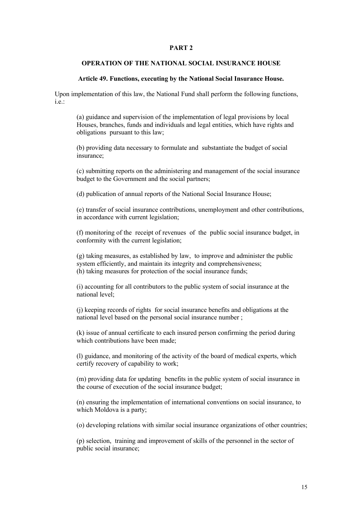#### **PART 2**

# **OPERATION OF THE NATIONAL SOCIAL INSURANCE HOUSE**

#### **Article 49. Functions, executing by the National Social Insurance House.**

Upon implementation of this law, the National Fund shall perform the following functions, i.e.

(a) guidance and supervision of the implementation of legal provisions by local Houses, branches, funds and individuals and legal entities, which have rights and obligations pursuant to this law;

(b) providing data necessary to formulate and substantiate the budget of social insurance;

(c) submitting reports on the administering and management of the social insurance budget to the Government and the social partners;

(d) publication of annual reports of the National Social Insurance House;

(e) transfer of social insurance contributions, unemployment and other contributions, in accordance with current legislation;

(f) monitoring of the receipt of revenues of the public social insurance budget, in conformity with the current legislation;

(g) taking measures, as established by law, to improve and administer the public system efficiently, and maintain its integrity and comprehensiveness; (h) taking measures for protection of the social insurance funds;

(i) accounting for all contributors to the public system of social insurance at the national level;

(j) keeping records of rights for social insurance benefits and obligations at the national level based on the personal social insurance number ;

(k) issue of annual certificate to each insured person confirming the period during which contributions have been made:

(l) guidance, and monitoring of the activity of the board of medical experts, which certify recovery of capability to work;

(m) providing data for updating benefits in the public system of social insurance in the course of execution of the social insurance budget;

(n) ensuring the implementation of international conventions on social insurance, to which Moldova is a party;

(o) developing relations with similar social insurance organizations of other countries;

(p) selection, training and improvement of skills of the personnel in the sector of public social insurance;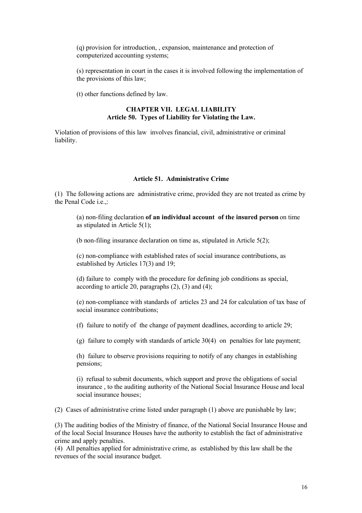(q) provision for introduction, , expansion, maintenance and protection of computerized accounting systems;

(s) representation in court in the cases it is involved following the implementation of the provisions of this law;

(t) other functions defined by law.

#### **CHAPTER VII. LEGAL LIABILITY Article 50. Types of Liability for Violating the Law.**

Violation of provisions of this law involves financial, civil, administrative or criminal liability.

# **Article 51. Administrative Crime**

(1) The following actions are administrative crime, provided they are not treated as crime by the Penal Code i.e.,:

(a) non-filing declaration **of an individual account of the insured person** on time as stipulated in Article 5(1);

(b non-filing insurance declaration on time as, stipulated in Article 5(2);

(c) non-compliance with established rates of social insurance contributions, as established by Articles 17(3) and 19;

(d) failure to comply with the procedure for defining job conditions as special, according to article 20, paragraphs  $(2)$ ,  $(3)$  and  $(4)$ ;

(e) non-compliance with standards of articles 23 and 24 for calculation of tax base of social insurance contributions;

(f) failure to notify of the change of payment deadlines, according to article 29;

(g) failure to comply with standards of article 30(4) on penalties for late payment;

(h) failure to observe provisions requiring to notify of any changes in establishing pensions;

(i) refusal to submit documents, which support and prove the obligations of social insurance , to the auditing authority of the National Social Insurance House and local social insurance houses;

(2) Cases of administrative crime listed under paragraph (1) above are punishable by law;

(3) The auditing bodies of the Ministry of finance, of the National Social Insurance House and of the local Social Insurance Houses have the authority to establish the fact of administrative crime and apply penalties.

(4) All penalties applied for administrative crime, as established by this law shall be the revenues of the social insurance budget.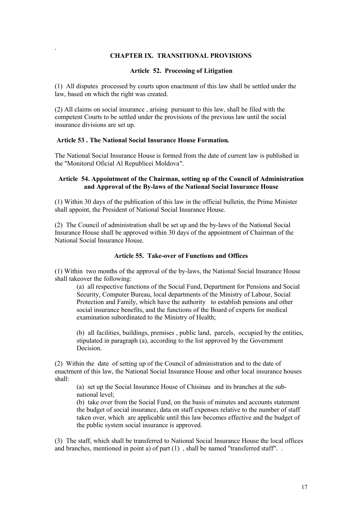# **CHAPTER IX. TRANSITIONAL PROVISIONS**

#### **Article 52. Processing of Litigation**

(1) All disputes processed by courts upon enactment of this law shall be settled under the law, based on which the right was created.

(2) All claims on social insurance , arising pursuant to this law, shall be filed with the competent Courts to be settled under the provisions of the previous law until the social insurance divisions are set up.

## **Article 53 . The National Social Insurance House Formation.**

.

The National Social Insurance House is formed from the date of current law is published in the "Monitorul Oficial Al Republicei Moldova".

# **Article 54. Appointment of the Chairman, setting up of the Council of Administration and Approval of the By-laws of the National Social Insurance House**

(1) Within 30 days of the publication of this law in the official bulletin, the Prime Minister shall appoint, the President of National Social Insurance House.

(2) The Council of administration shall be set up and the by-laws of the National Social Insurance House shall be approved within 30 days of the appointment of Chairman of the National Social Insurance House.

#### **Article 55. Take-over of Functions and Offices**

(1) Within two months of the approval of the by-laws, the National Social Insurance House shall takeover the following:

(a) all respective functions of the Social Fund, Department for Pensions and Social Security, Computer Bureau, local departments of the Ministry of Labour, Social Protection and Family, which have the authority to establish pensions and other social insurance benefits, and the functions of the Board of experts for medical examination subordinated to the Ministry of Health;

(b) all facilities, buildings, premises , public land, parcels, occupied by the entities, stipulated in paragraph (a), according to the list approved by the Government Decision.

(2) Within the date of setting up of the Council of administration and to the date of enactment of this law, the National Social Insurance House and other local insurance houses shall:

(a) set up the Social Insurance House of Chisinau and its branches at the subnational level;

(b) take over from the Social Fund, on the basis of minutes and accounts statement the budget of social insurance, data on staff expenses relative to the number of staff taken over, which are applicable until this law becomes effective and the budget of the public system social insurance is approved.

(3) The staff, which shall be transferred to National Social Insurance House the local offices and branches, mentioned in point a) of part (1) , shall be named "transferred staff". .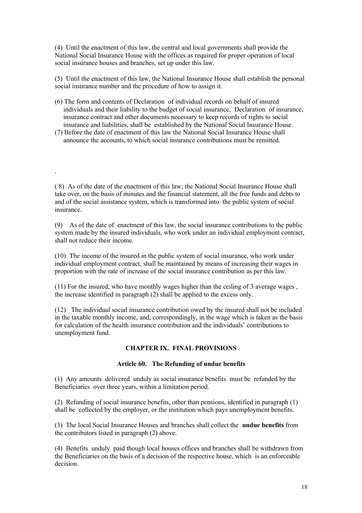(4) Until the enactment of this law, the central and local governments shall provide the National Social Insurance House with the offices as required for proper operation of local social insurance houses and branches, set up under this law.

(5) Until the enactment of this law, the National Insurance House shall establish the personal social insurance number and the procedure of how to assign it.

- (6) The form and contents of Declaration of individual records on behalf of insured individuals and their liability to the budget of social insurance, Declaration of insurance, insurance contract and other documents necessary to keep records of rights to social insurance and liabilities, shall be established by the National Social Insurance House.
- (7) Before the date of enactment of this law the National Social Insurance House shall announce the accounts, to which social insurance contributions must be remitted.

.

( 8) As of the date of the enactment of this law, the National Social Insurance House shall take over, on the basis of minutes and the financial statement, all the free funds and debts to and of the social assistance system, which is transformed into the public system of social insurance.

(9) As of the date of enactment of this law, the social insurance contributions to the public system made by the insured individuals, who work under an individual employment contract, shall not reduce their income.

(10) The income of the insured in the public system of social insurance, who work under individual employment contract, shall be maintained by means of increasing their wages in proportion with the rate of increase of the social insurance contribution as per this law.

(11) For the insured, who have monthly wages higher than the ceiling of 3 average wages , the increase identified in paragraph (2) shall be applied to the excess only.

(12) The individual social insurance contribution owed by the insured shall not be included in the taxable monthly income, and, correspondingly, in the wage which is taken as the basis for calculation of the health insurance contribution and the individuals' contributions to unemployment fund.

## **CHAPTER IX. FINAL PROVISIONS**

## **Article 60. The Refunding of undue benefits**

(1) Any amounts delivered unduly as social insurance benefits must be refunded by the Beneficiaries over three years, within a limitation period.

(2) Refunding of social insurance benefits, other than pensions, identified in paragraph (1) shall be collected by the employer, or the institution which pays unemployment benefits.

(3) The local Social Insurance Houses and branches shall collect the **undue benefits** from the contributors listed in paragraph (2) above.

(4) Benefits unduly paid though local houses offices and branches shall be withdrawn from the Beneficiaries on the basis of a decision of the respective house, which is an enforceable decision.